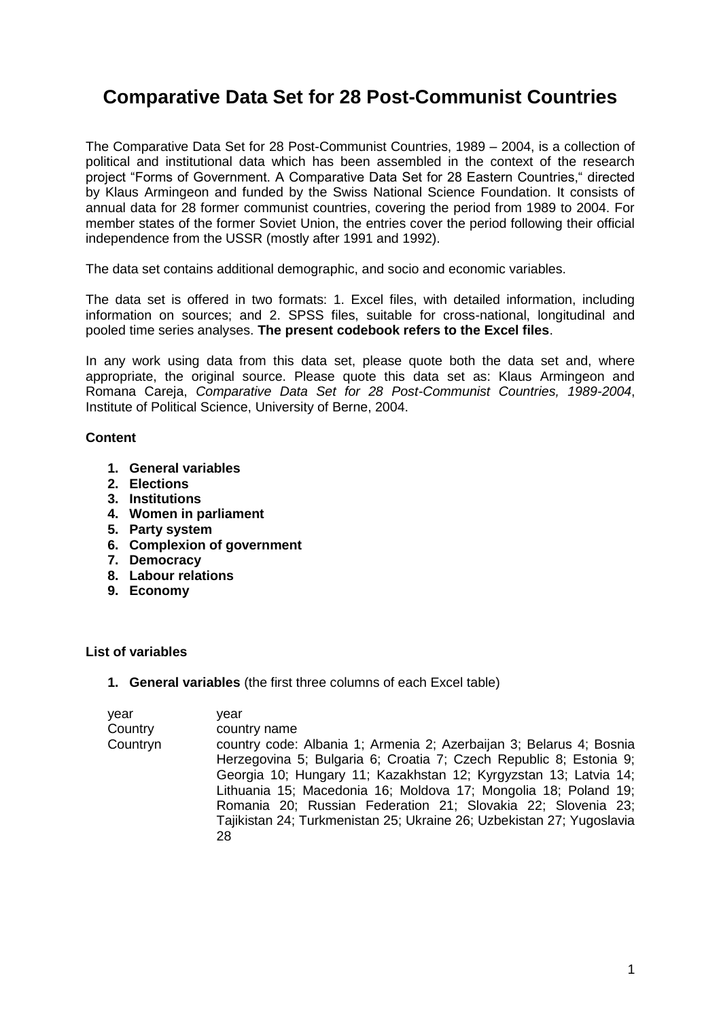# **Comparative Data Set for 28 Post-Communist Countries**

The Comparative Data Set for 28 Post-Communist Countries, 1989 – 2004, is a collection of political and institutional data which has been assembled in the context of the research project "Forms of Government. A Comparative Data Set for 28 Eastern Countries," directed by Klaus Armingeon and funded by the Swiss National Science Foundation. It consists of annual data for 28 former communist countries, covering the period from 1989 to 2004. For member states of the former Soviet Union, the entries cover the period following their official independence from the USSR (mostly after 1991 and 1992).

The data set contains additional demographic, and socio and economic variables.

The data set is offered in two formats: 1. Excel files, with detailed information, including information on sources; and 2. SPSS files, suitable for cross-national, longitudinal and pooled time series analyses. **The present codebook refers to the Excel files**.

In any work using data from this data set, please quote both the data set and, where appropriate, the original source. Please quote this data set as: Klaus Armingeon and Romana Careja, *Comparative Data Set for 28 Post-Communist Countries, 1989-2004*, Institute of Political Science, University of Berne, 2004.

# **Content**

- **1. General variables**
- **2. Elections**
- **3. Institutions**
- **4. Women in parliament**
- **5. Party system**
- **6. Complexion of government**
- **7. Democracy**
- **8. Labour relations**
- **9. Economy**

# **List of variables**

**1. General variables** (the first three columns of each Excel table)

| year<br>Country | vear<br>country name                                                                                                                        |
|-----------------|---------------------------------------------------------------------------------------------------------------------------------------------|
| Countryn        | country code: Albania 1; Armenia 2; Azerbaijan 3; Belarus 4; Bosnia<br>Herzegovina 5; Bulgaria 6; Croatia 7; Czech Republic 8; Estonia 9;   |
|                 | Georgia 10; Hungary 11; Kazakhstan 12; Kyrgyzstan 13; Latvia 14;<br>Lithuania 15; Macedonia 16; Moldova 17; Mongolia 18; Poland 19;         |
|                 | Romania 20; Russian Federation 21; Slovakia 22; Slovenia 23;<br>Tajikistan 24; Turkmenistan 25; Ukraine 26; Uzbekistan 27; Yugoslavia<br>28 |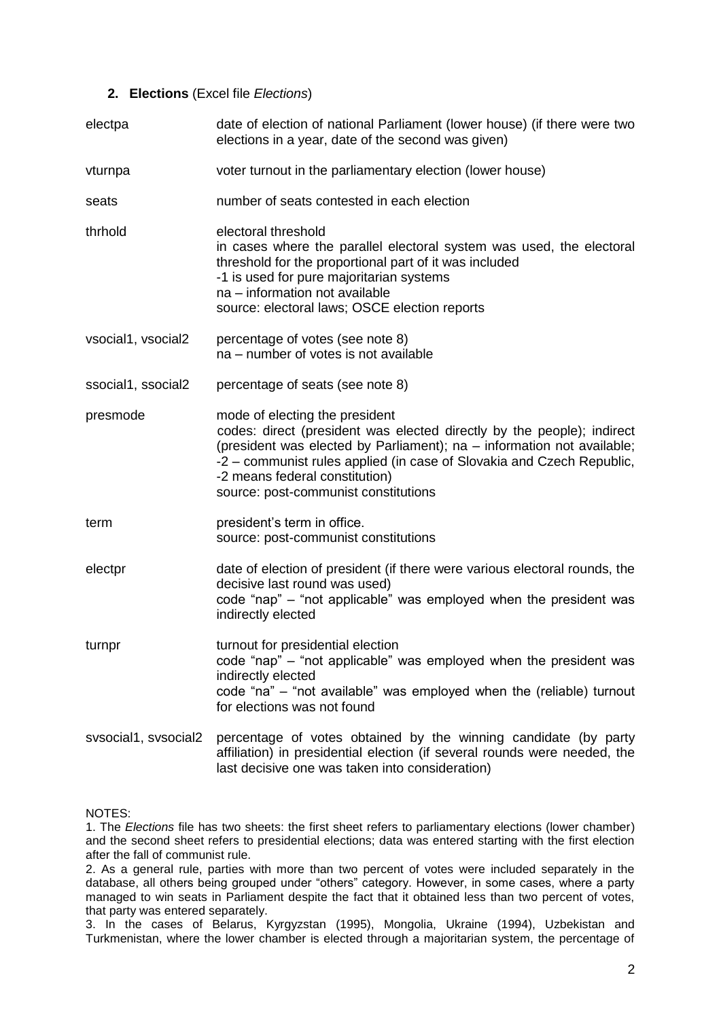# **2. Elections** (Excel file *Elections*)

| electpa              | date of election of national Parliament (lower house) (if there were two<br>elections in a year, date of the second was given)                                                                                                                                                                                                        |  |  |
|----------------------|---------------------------------------------------------------------------------------------------------------------------------------------------------------------------------------------------------------------------------------------------------------------------------------------------------------------------------------|--|--|
| vturnpa              | voter turnout in the parliamentary election (lower house)                                                                                                                                                                                                                                                                             |  |  |
| seats                | number of seats contested in each election                                                                                                                                                                                                                                                                                            |  |  |
| thrhold              | electoral threshold<br>in cases where the parallel electoral system was used, the electoral<br>threshold for the proportional part of it was included<br>-1 is used for pure majoritarian systems<br>na - information not available<br>source: electoral laws; OSCE election reports                                                  |  |  |
| vsocial1, vsocial2   | percentage of votes (see note 8)<br>na – number of votes is not available                                                                                                                                                                                                                                                             |  |  |
| ssocial1, ssocial2   | percentage of seats (see note 8)                                                                                                                                                                                                                                                                                                      |  |  |
| presmode             | mode of electing the president<br>codes: direct (president was elected directly by the people); indirect<br>(president was elected by Parliament); na - information not available;<br>-2 – communist rules applied (in case of Slovakia and Czech Republic,<br>-2 means federal constitution)<br>source: post-communist constitutions |  |  |
| term                 | president's term in office.<br>source: post-communist constitutions                                                                                                                                                                                                                                                                   |  |  |
| electpr              | date of election of president (if there were various electoral rounds, the<br>decisive last round was used)<br>code "nap" – "not applicable" was employed when the president was<br>indirectly elected                                                                                                                                |  |  |
| turnpr               | turnout for presidential election<br>code "nap" – "not applicable" was employed when the president was<br>indirectly elected<br>code "na" - "not available" was employed when the (reliable) turnout<br>for elections was not found                                                                                                   |  |  |
| sysocial1, sysocial2 | percentage of votes obtained by the winning candidate (by party<br>affiliation) in presidential election (if several rounds were needed, the<br>last decisive one was taken into consideration)                                                                                                                                       |  |  |

NOTES:

1. The *Elections* file has two sheets: the first sheet refers to parliamentary elections (lower chamber) and the second sheet refers to presidential elections; data was entered starting with the first election after the fall of communist rule.

2. As a general rule, parties with more than two percent of votes were included separately in the database, all others being grouped under "others" category. However, in some cases, where a party managed to win seats in Parliament despite the fact that it obtained less than two percent of votes, that party was entered separately.

3. In the cases of Belarus, Kyrgyzstan (1995), Mongolia, Ukraine (1994), Uzbekistan and Turkmenistan, where the lower chamber is elected through a majoritarian system, the percentage of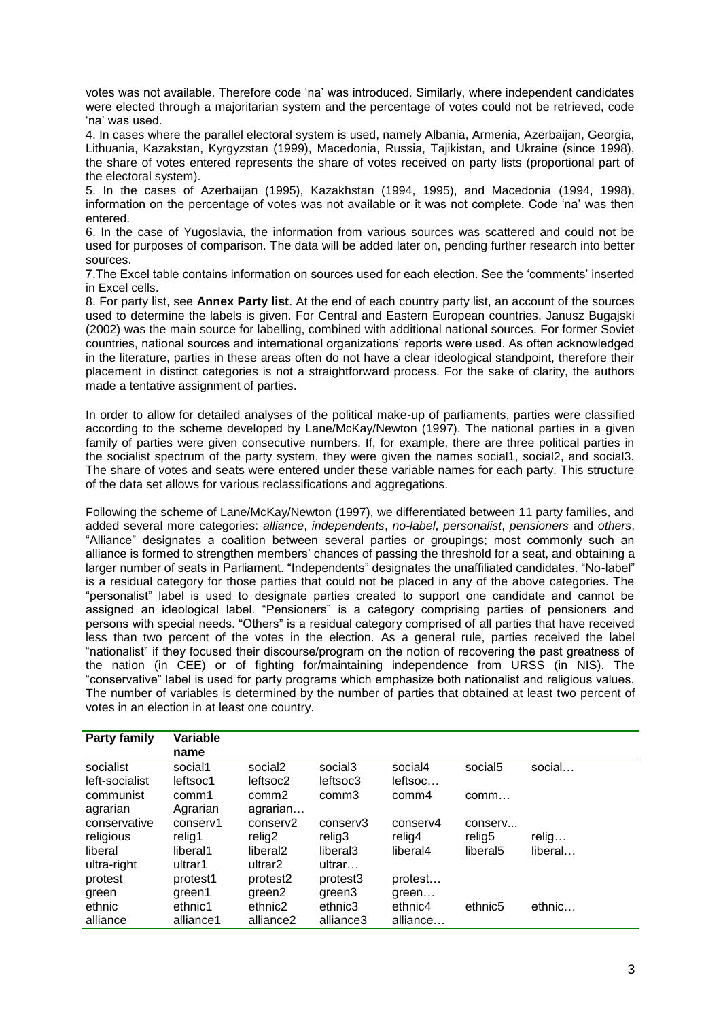votes was not available. Therefore code 'na' was introduced. Similarly, where independent candidates were elected through a majoritarian system and the percentage of votes could not be retrieved, code 'na' was used.

4. In cases where the parallel electoral system is used, namely Albania, Armenia, Azerbaijan, Georgia, Lithuania, Kazakstan, Kyrgyzstan (1999), Macedonia, Russia, Tajikistan, and Ukraine (since 1998), the share of votes entered represents the share of votes received on party lists (proportional part of the electoral system).

5. In the cases of Azerbaijan (1995), Kazakhstan (1994, 1995), and Macedonia (1994, 1998), information on the percentage of votes was not available or it was not complete. Code 'na' was then entered.

6. In the case of Yugoslavia, the information from various sources was scattered and could not be used for purposes of comparison. The data will be added later on, pending further research into better sources.

7.The Excel table contains information on sources used for each election. See the 'comments' inserted in Excel cells.

8. For party list, see **Annex Party list**. At the end of each country party list, an account of the sources used to determine the labels is given. For Central and Eastern European countries, Janusz Bugajski (2002) was the main source for labelling, combined with additional national sources. For former Soviet countries, national sources and international organizations' reports were used. As often acknowledged in the literature, parties in these areas often do not have a clear ideological standpoint, therefore their placement in distinct categories is not a straightforward process. For the sake of clarity, the authors made a tentative assignment of parties.

In order to allow for detailed analyses of the political make-up of parliaments, parties were classified according to the scheme developed by Lane/McKay/Newton (1997). The national parties in a given family of parties were given consecutive numbers. If, for example, there are three political parties in the socialist spectrum of the party system, they were given the names social1, social2, and social3. The share of votes and seats were entered under these variable names for each party. This structure of the data set allows for various reclassifications and aggregations.

Following the scheme of Lane/McKay/Newton (1997), we differentiated between 11 party families, and added several more categories: *alliance*, *independents*, *no-label*, *personalist*, *pensioners* and *others*. "Alliance" designates a coalition between several parties or groupings; most commonly such an alliance is formed to strengthen members' chances of passing the threshold for a seat, and obtaining a larger number of seats in Parliament. "Independents" designates the unaffiliated candidates. "No-label" is a residual category for those parties that could not be placed in any of the above categories. The "personalist" label is used to designate parties created to support one candidate and cannot be assigned an ideological label. "Pensioners" is a category comprising parties of pensioners and persons with special needs. "Others" is a residual category comprised of all parties that have received less than two percent of the votes in the election. As a general rule, parties received the label "nationalist" if they focused their discourse/program on the notion of recovering the past greatness of the nation (in CEE) or of fighting for/maintaining independence from URSS (in NIS). The "conservative" label is used for party programs which emphasize both nationalist and religious values. The number of variables is determined by the number of parties that obtained at least two percent of votes in an election in at least one country.

| <b>Party family</b> | Variable  |                      |                     |          |                      |         |
|---------------------|-----------|----------------------|---------------------|----------|----------------------|---------|
|                     | name      |                      |                     |          |                      |         |
| socialist           | social1   | social <sub>2</sub>  | social <sub>3</sub> | social4  | social <sub>5</sub>  | social  |
| left-socialist      | leftsoc1  | leftsoc2             | leftsoc3            | leftsoc  |                      |         |
| communist           | comm1     | comm <sub>2</sub>    | comm3               | comm4    | comm                 |         |
| agrarian            | Agrarian  | agrarian             |                     |          |                      |         |
| conservative        | conserv1  | conserv2             | conserv3            | conserv4 | conserv              |         |
| religious           | relig1    | relig2               | relig3              | relig4   | relig5               | relig   |
| liberal             | liberal1  | liberal <sub>2</sub> | liberal3            | liberal4 | liberal <sub>5</sub> | liberal |
| ultra-right         | ultrar1   | ultrar <sub>2</sub>  | ultrar              |          |                      |         |
| protest             | protest1  | protest <sub>2</sub> | protest3            | protest  |                      |         |
| green               | green1    | green2               | green3              | green    |                      |         |
| ethnic              | ethnic1   | ethnic2              | ethnic3             | ethnic4  | ethnic <sub>5</sub>  | ethnic  |
| alliance            | alliance1 | alliance2            | alliance3           | alliance |                      |         |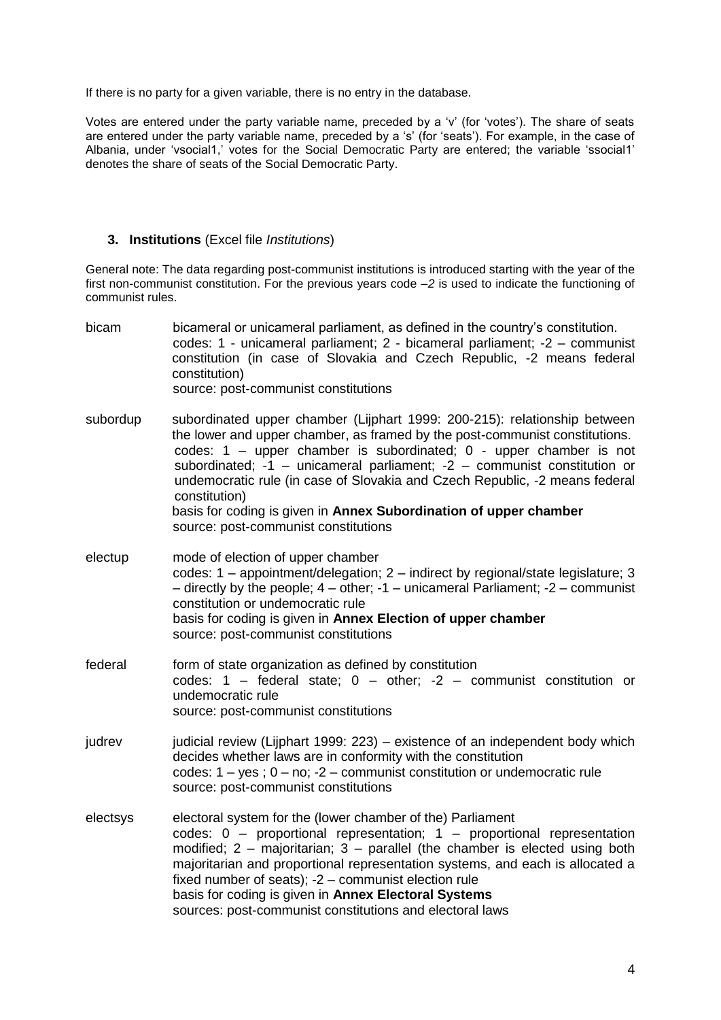If there is no party for a given variable, there is no entry in the database.

Votes are entered under the party variable name, preceded by a 'v' (for 'votes'). The share of seats are entered under the party variable name, preceded by a 's' (for 'seats'). For example, in the case of Albania, under 'vsocial1,' votes for the Social Democratic Party are entered; the variable 'ssocial1' denotes the share of seats of the Social Democratic Party.

## **3. Institutions** (Excel file *Institutions*)

General note: The data regarding post-communist institutions is introduced starting with the year of the first non-communist constitution. For the previous years code *–2* is used to indicate the functioning of communist rules.

bicam bicameral or unicameral parliament, as defined in the country's constitution. codes: 1 - unicameral parliament; 2 - bicameral parliament; -2 – communist constitution (in case of Slovakia and Czech Republic, -2 means federal constitution) source: post-communist constitutions subordup subordinated upper chamber (Lijphart 1999: 200-215): relationship between the lower and upper chamber, as framed by the post-communist constitutions. codes: 1 – upper chamber is subordinated; 0 - upper chamber is not subordinated; -1 – unicameral parliament; -2 – communist constitution or undemocratic rule (in case of Slovakia and Czech Republic, -2 means federal constitution) basis for coding is given in **Annex Subordination of upper chamber** source: post-communist constitutions electup mode of election of upper chamber codes: 1 – appointment/delegation; 2 – indirect by regional/state legislature; 3 – directly by the people; 4 – other; -1 – unicameral Parliament; -2 – communist constitution or undemocratic rule basis for coding is given in **Annex Election of upper chamber** source: post-communist constitutions federal form of state organization as defined by constitution codes:  $1 -$  federal state;  $0 -$  other;  $-2 -$  communist constitution or undemocratic rule source: post-communist constitutions judrev judicial review (Lijphart 1999: 223) – existence of an independent body which decides whether laws are in conformity with the constitution codes:  $1 - yes$ ;  $0 - no$ ;  $-2 - communist$  constitution or undemocratic rule source: post-communist constitutions electsys electoral system for the (lower chamber of the) Parliament codes: 0 – proportional representation; 1 – proportional representation modified; 2 – majoritarian; 3 – parallel (the chamber is elected using both majoritarian and proportional representation systems, and each is allocated a fixed number of seats); -2 – communist election rule basis for coding is given in **Annex Electoral Systems** sources: post-communist constitutions and electoral laws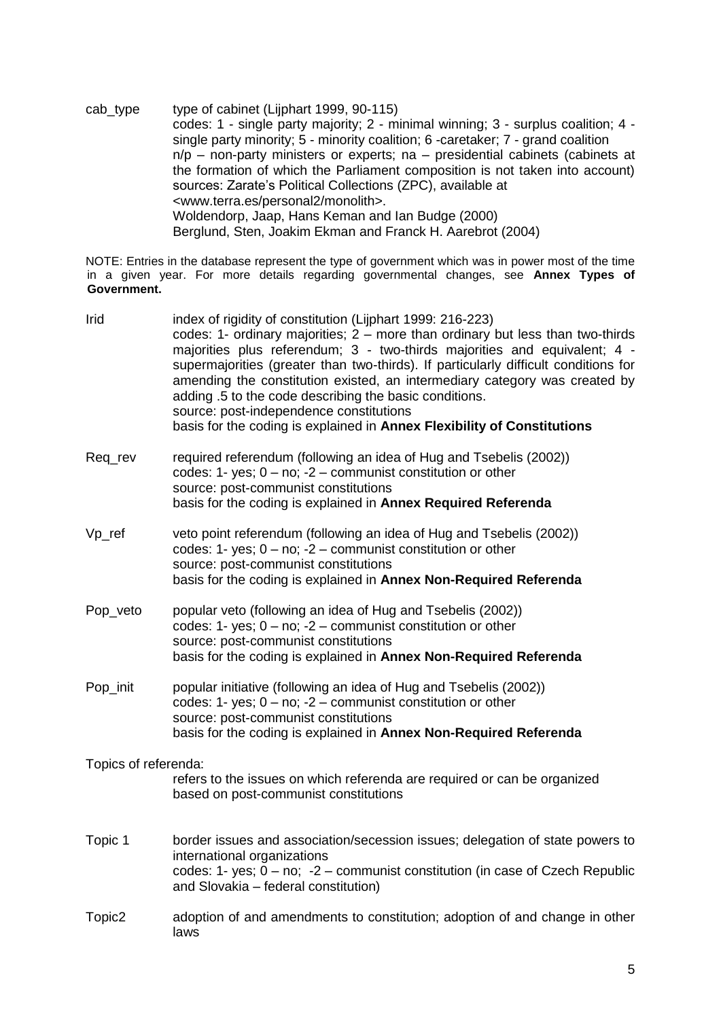cab\_type type of cabinet (Lijphart 1999, 90-115) codes: 1 - single party majority; 2 - minimal winning; 3 - surplus coalition; 4 single party minority; 5 - minority coalition; 6 -caretaker; 7 - grand coalition n/p – non-party ministers or experts; na – presidential cabinets (cabinets at the formation of which the Parliament composition is not taken into account) sources: Zarate's Political Collections (ZPC), available at <www.terra.es/personal2/monolith>. Woldendorp, Jaap, Hans Keman and Ian Budge (2000) Berglund, Sten, Joakim Ekman and Franck H. Aarebrot (2004)

NOTE: Entries in the database represent the type of government which was in power most of the time in a given year. For more details regarding governmental changes, see **Annex Types of Government.**

| Irid                 | index of rigidity of constitution (Lijphart 1999: 216-223)<br>codes: 1- ordinary majorities; 2 - more than ordinary but less than two-thirds<br>majorities plus referendum; 3 - two-thirds majorities and equivalent; 4 -<br>supermajorities (greater than two-thirds). If particularly difficult conditions for<br>amending the constitution existed, an intermediary category was created by<br>adding .5 to the code describing the basic conditions.<br>source: post-independence constitutions<br>basis for the coding is explained in Annex Flexibility of Constitutions |
|----------------------|--------------------------------------------------------------------------------------------------------------------------------------------------------------------------------------------------------------------------------------------------------------------------------------------------------------------------------------------------------------------------------------------------------------------------------------------------------------------------------------------------------------------------------------------------------------------------------|
| Reg rev              | required referendum (following an idea of Hug and Tsebelis (2002))<br>codes: 1- yes; $0 - no$ ; $-2 -$ communist constitution or other<br>source: post-communist constitutions<br>basis for the coding is explained in Annex Required Referenda                                                                                                                                                                                                                                                                                                                                |
| $Vp_{ref}$           | veto point referendum (following an idea of Hug and Tsebelis (2002))<br>codes: 1- yes; $0 - no$ ; $-2 -$ communist constitution or other<br>source: post-communist constitutions<br>basis for the coding is explained in Annex Non-Required Referenda                                                                                                                                                                                                                                                                                                                          |
| Pop_veto             | popular veto (following an idea of Hug and Tsebelis (2002))<br>codes: 1- yes; $0 - no$ ; $-2 -$ communist constitution or other<br>source: post-communist constitutions<br>basis for the coding is explained in Annex Non-Required Referenda                                                                                                                                                                                                                                                                                                                                   |
| Pop_init             | popular initiative (following an idea of Hug and Tsebelis (2002))<br>codes: 1- yes; $0 - no$ ; $-2 -$ communist constitution or other<br>source: post-communist constitutions<br>basis for the coding is explained in Annex Non-Required Referenda                                                                                                                                                                                                                                                                                                                             |
| Topics of referenda: | refers to the issues on which referenda are required or can be organized<br>based on post-communist constitutions                                                                                                                                                                                                                                                                                                                                                                                                                                                              |
| Topic 1              | border issues and association/secession issues; delegation of state powers to<br>international organizations<br>codes: 1- yes; $0 - no$ ; $-2 -$ communist constitution (in case of Czech Republic<br>and Slovakia - federal constitution)                                                                                                                                                                                                                                                                                                                                     |
| Topic <sub>2</sub>   | adoption of and amendments to constitution; adoption of and change in other<br>laws                                                                                                                                                                                                                                                                                                                                                                                                                                                                                            |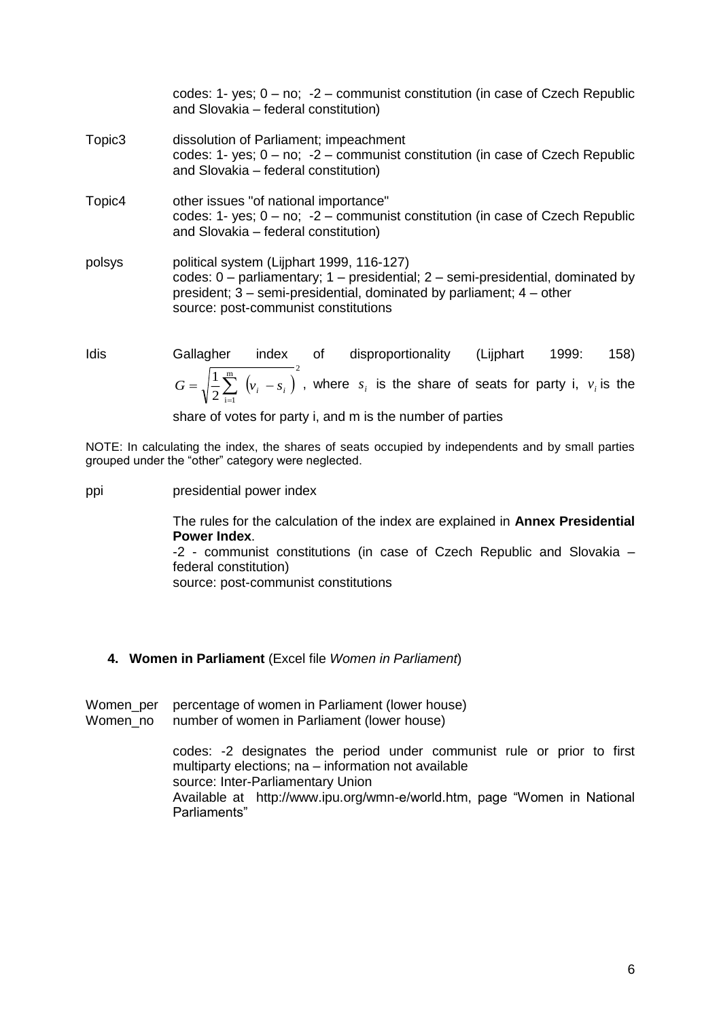|                    | codes: 1- yes; $0 - no$ ; $-2 -$ communist constitution (in case of Czech Republic<br>and Slovakia - federal constitution)                                                                                                                         |
|--------------------|----------------------------------------------------------------------------------------------------------------------------------------------------------------------------------------------------------------------------------------------------|
| Topic <sub>3</sub> | dissolution of Parliament; impeachment<br>codes: 1- yes; $0 - no$ ; $-2 -$ communist constitution (in case of Czech Republic<br>and Slovakia - federal constitution)                                                                               |
| Topic4             | other issues "of national importance"<br>codes: 1- yes; $0 - no$ ; $-2 -$ communist constitution (in case of Czech Republic<br>and Slovakia - federal constitution)                                                                                |
| polsys             | political system (Lijphart 1999, 116-127)<br>codes: $0$ – parliamentary; $1$ – presidential; $2$ – semi-presidential, dominated by<br>president; 3 – semi-presidential, dominated by parliament; 4 – other<br>source: post-communist constitutions |
| aihl               | 158).<br>Gallagher<br>disproportionality<br>l iinhart<br>$1999 \cdot$<br>∩f<br>index                                                                                                                                                               |

Idis Gallagher index of disproportionality (Lijphart 1999: 158)  $\sum_{i=1}^{m} (v_i - s_i)^2$  $2 \underset{\scriptscriptstyle i=1}{\leftarrow}$  $G = \sqrt{\frac{1}{2} \sum_{i=1}^{m} (v_i - s_i)}$ , where  $s_i$  is the share of seats for party i,  $v_i$  is the

share of votes for party i, and m is the number of parties

NOTE: In calculating the index, the shares of seats occupied by independents and by small parties grouped under the "other" category were neglected.

ppi presidential power index

The rules for the calculation of the index are explained in **Annex Presidential Power Index**.

-2 - communist constitutions (in case of Czech Republic and Slovakia – federal constitution)

source: post-communist constitutions

# **4. Women in Parliament** (Excel file *Women in Parliament*)

Women per percentage of women in Parliament (lower house) Women no number of women in Parliament (lower house)

> codes: -2 designates the period under communist rule or prior to first multiparty elections; na – information not available source: Inter-Parliamentary Union Available at http://www.ipu.org/wmn-e/world.htm, page "Women in National Parliaments"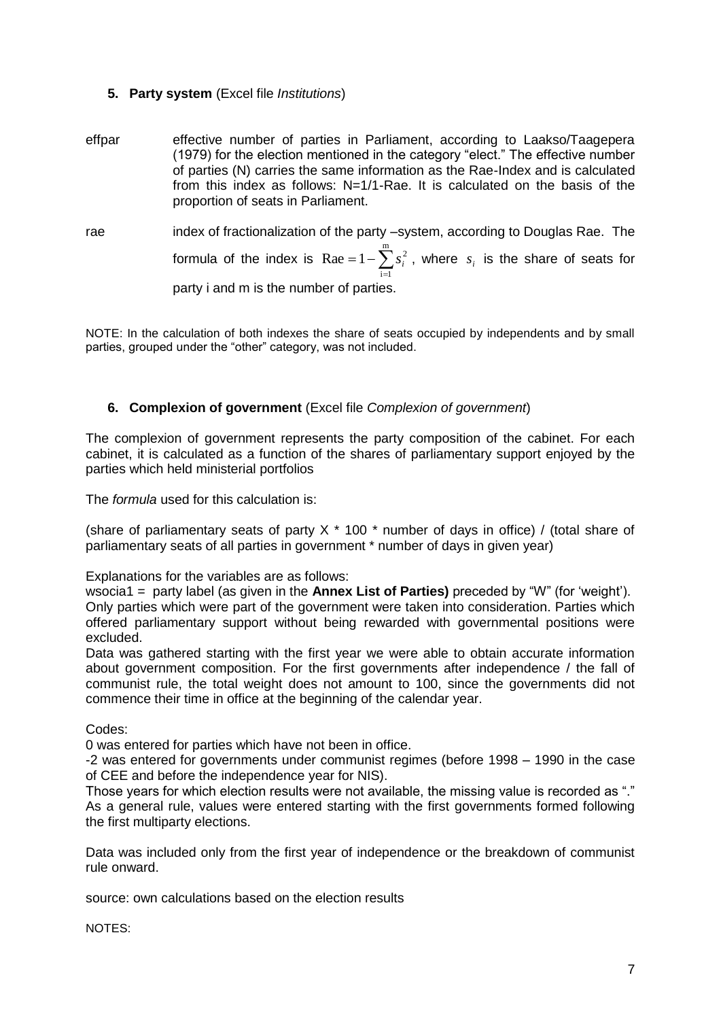# **5. Party system** (Excel file *Institutions*)

- effpar effective number of parties in Parliament, according to Laakso/Taagepera (1979) for the election mentioned in the category "elect." The effective number of parties (N) carries the same information as the Rae-Index and is calculated from this index as follows: N=1/1-Rae. It is calculated on the basis of the proportion of seats in Parliament.
- rae index of fractionalization of the party –system, according to Douglas Rae. The formula of the index is  $\text{Rae} = 1 - \sum_{i=1}^{n}$  $= 1$  $i = 1$  $\text{Rae} = 1 - \sum s_i^2$ , where  $s_i$  is the share of seats for party i and m is the number of parties.

NOTE: In the calculation of both indexes the share of seats occupied by independents and by small parties, grouped under the "other" category, was not included.

# **6. Complexion of government** (Excel file *Complexion of government*)

The complexion of government represents the party composition of the cabinet. For each cabinet, it is calculated as a function of the shares of parliamentary support enjoyed by the parties which held ministerial portfolios

The *formula* used for this calculation is:

(share of parliamentary seats of party  $X * 100 *$  number of days in office) / (total share of parliamentary seats of all parties in government \* number of days in given year)

Explanations for the variables are as follows:

wsocia1 = party label (as given in the **Annex List of Parties)** preceded by "W" (for 'weight'). Only parties which were part of the government were taken into consideration. Parties which offered parliamentary support without being rewarded with governmental positions were excluded.

Data was gathered starting with the first year we were able to obtain accurate information about government composition. For the first governments after independence / the fall of communist rule, the total weight does not amount to 100, since the governments did not commence their time in office at the beginning of the calendar year.

Codes:

0 was entered for parties which have not been in office.

-2 was entered for governments under communist regimes (before 1998 – 1990 in the case of CEE and before the independence year for NIS).

Those years for which election results were not available, the missing value is recorded as "." As a general rule, values were entered starting with the first governments formed following the first multiparty elections.

Data was included only from the first year of independence or the breakdown of communist rule onward.

source: own calculations based on the election results

NOTES: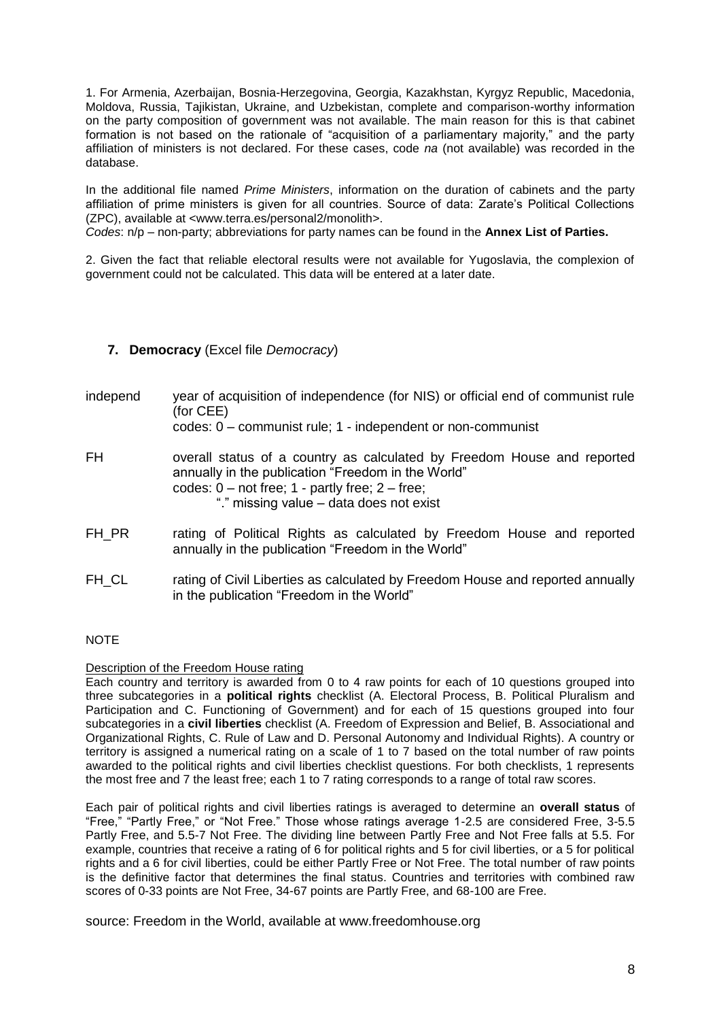1. For Armenia, Azerbaijan, Bosnia-Herzegovina, Georgia, Kazakhstan, Kyrgyz Republic, Macedonia, Moldova, Russia, Tajikistan, Ukraine, and Uzbekistan, complete and comparison-worthy information on the party composition of government was not available. The main reason for this is that cabinet formation is not based on the rationale of "acquisition of a parliamentary majority," and the party affiliation of ministers is not declared. For these cases, code *na* (not available) was recorded in the database.

In the additional file named *Prime Ministers*, information on the duration of cabinets and the party affiliation of prime ministers is given for all countries. Source of data: Zarate's Political Collections (ZPC), available at <www.terra.es/personal2/monolith>.

*Codes*: n/p – non-party; abbreviations for party names can be found in the **Annex List of Parties.**

2. Given the fact that reliable electoral results were not available for Yugoslavia, the complexion of government could not be calculated. This data will be entered at a later date.

# **7. Democracy** (Excel file *Democracy*)

independ year of acquisition of independence (for NIS) or official end of communist rule (for CEE)

codes: 0 – communist rule; 1 - independent or non-communist

- FH overall status of a country as calculated by Freedom House and reported annually in the publication "Freedom in the World" codes:  $0$  – not free;  $1$  - partly free;  $2$  – free; "." missing value – data does not exist
- FH\_PR rating of Political Rights as calculated by Freedom House and reported annually in the publication "Freedom in the World"
- FH\_CL rating of Civil Liberties as calculated by Freedom House and reported annually in the publication "Freedom in the World"

# NOTE

#### Description of the Freedom House rating

Each country and territory is awarded from 0 to 4 raw points for each of 10 questions grouped into three subcategories in a **political rights** checklist (A. Electoral Process, B. Political Pluralism and Participation and C. Functioning of Government) and for each of 15 questions grouped into four subcategories in a **civil liberties** checklist (A. Freedom of Expression and Belief, B. Associational and Organizational Rights, C. Rule of Law and D. Personal Autonomy and Individual Rights). A country or territory is assigned a numerical rating on a scale of 1 to 7 based on the total number of raw points awarded to the political rights and civil liberties checklist questions. For both checklists, 1 represents the most free and 7 the least free; each 1 to 7 rating corresponds to a range of total raw scores.

Each pair of political rights and civil liberties ratings is averaged to determine an **overall status** of "Free," "Partly Free," or "Not Free." Those whose ratings average 1-2.5 are considered Free, 3-5.5 Partly Free, and 5.5-7 Not Free. The dividing line between Partly Free and Not Free falls at 5.5. For example, countries that receive a rating of 6 for political rights and 5 for civil liberties, or a 5 for political rights and a 6 for civil liberties, could be either Partly Free or Not Free. The total number of raw points is the definitive factor that determines the final status. Countries and territories with combined raw scores of 0-33 points are Not Free, 34-67 points are Partly Free, and 68-100 are Free.

source: Freedom in the World, available at www.freedomhouse.org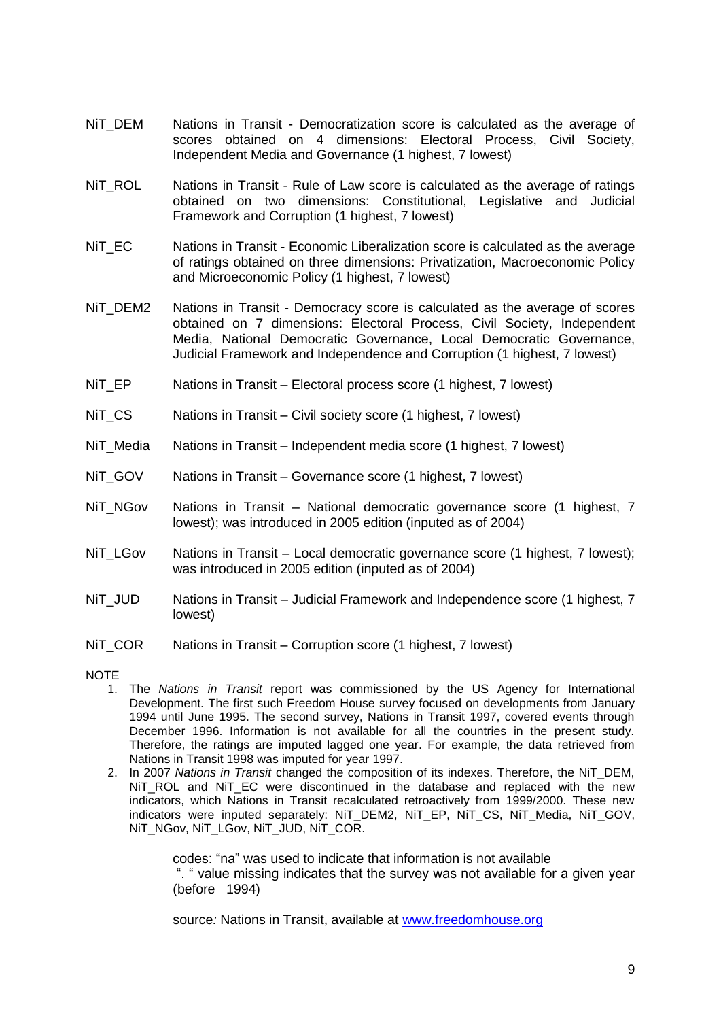- NiT\_DEM Nations in Transit Democratization score is calculated as the average of scores obtained on 4 dimensions: Electoral Process, Civil Society, Independent Media and Governance (1 highest, 7 lowest)
- Nit ROL Nations in Transit Rule of Law score is calculated as the average of ratings obtained on two dimensions: Constitutional, Legislative and Judicial Framework and Corruption (1 highest, 7 lowest)
- Nit EC Nations in Transit Economic Liberalization score is calculated as the average of ratings obtained on three dimensions: Privatization, Macroeconomic Policy and Microeconomic Policy (1 highest, 7 lowest)
- NiT\_DEM2 Nations in Transit Democracy score is calculated as the average of scores obtained on 7 dimensions: Electoral Process, Civil Society, Independent Media, National Democratic Governance, Local Democratic Governance, Judicial Framework and Independence and Corruption (1 highest, 7 lowest)
- NiT\_EP Nations in Transit Electoral process score (1 highest, 7 lowest)
- NiT CS Nations in Transit Civil society score (1 highest, 7 lowest)
- NiT\_Media Nations in Transit Independent media score (1 highest, 7 lowest)
- NiT\_GOV Nations in Transit Governance score (1 highest, 7 lowest)
- NiT\_NGov Nations in Transit National democratic governance score (1 highest, 7 lowest); was introduced in 2005 edition (inputed as of 2004)
- NiT\_LGov Nations in Transit Local democratic governance score (1 highest, 7 lowest); was introduced in 2005 edition (inputed as of 2004)
- NiT\_JUD Nations in Transit Judicial Framework and Independence score (1 highest, 7 lowest)
- NiT\_COR Nations in Transit Corruption score (1 highest, 7 lowest)
- **NOTE** 
	- 1. The *Nations in Transit* report was commissioned by the US Agency for International Development. The first such Freedom House survey focused on developments from January 1994 until June 1995. The second survey, Nations in Transit 1997, covered events through December 1996. Information is not available for all the countries in the present study. Therefore, the ratings are imputed lagged one year. For example, the data retrieved from Nations in Transit 1998 was imputed for year 1997.
	- 2. In 2007 *Nations in Transit* changed the composition of its indexes. Therefore, the NiT\_DEM, NiT\_ROL and NiT\_EC were discontinued in the database and replaced with the new indicators, which Nations in Transit recalculated retroactively from 1999/2000. These new indicators were inputed separately: NiT\_DEM2, NiT\_EP, NiT\_CS, NiT\_Media, NiT\_GOV, NIT\_NGov, NIT\_LGov, NIT\_JUD, NIT\_COR.

codes: "na" was used to indicate that information is not available ". " value missing indicates that the survey was not available for a given year (before 1994)

source: Nations in Transit, available at [www.freedomhouse.org](http://www.freedomhouse.org/)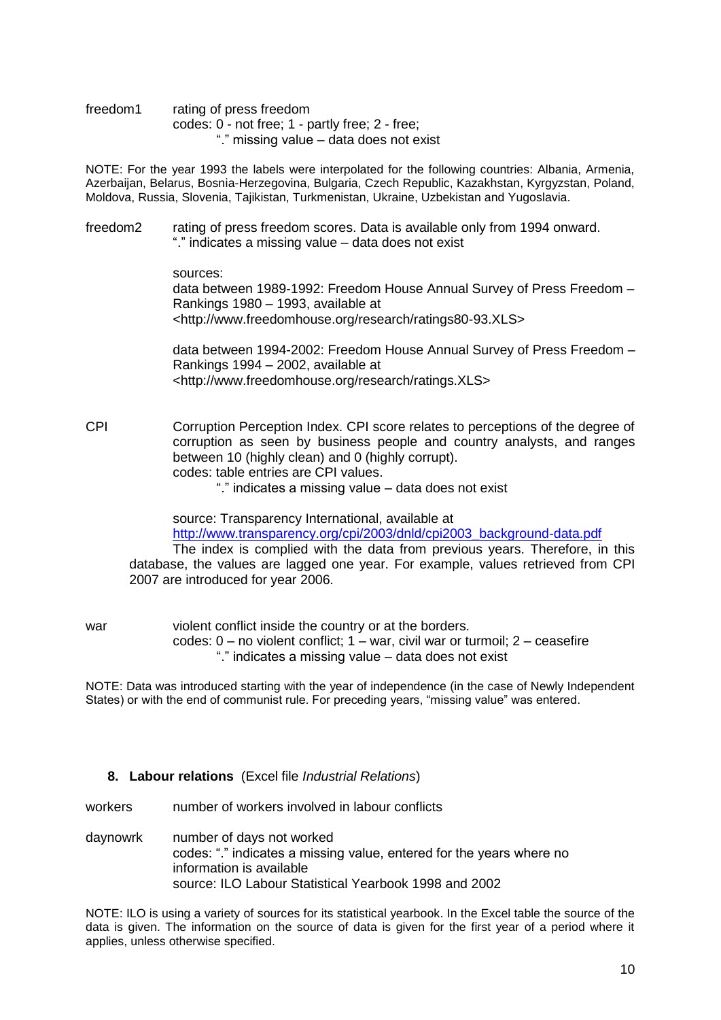freedom1 rating of press freedom codes: 0 - not free; 1 - partly free; 2 - free; "." missing value – data does not exist

NOTE: For the year 1993 the labels were interpolated for the following countries: Albania, Armenia, Azerbaijan, Belarus, Bosnia-Herzegovina, Bulgaria, Czech Republic, Kazakhstan, Kyrgyzstan, Poland, Moldova, Russia, Slovenia, Tajikistan, Turkmenistan, Ukraine, Uzbekistan and Yugoslavia.

freedom2 rating of press freedom scores. Data is available only from 1994 onward. "." indicates a missing value – data does not exist

sources:

data between 1989-1992: Freedom House Annual Survey of Press Freedom – Rankings 1980 – 1993, available at <http://www.freedomhouse.org/research/ratings80-93.XLS>

data between 1994-2002: Freedom House Annual Survey of Press Freedom – Rankings 1994 – 2002, available at <http://www.freedomhouse.org/research/ratings.XLS>

CPI Corruption Perception Index. CPI score relates to perceptions of the degree of corruption as seen by business people and country analysts, and ranges between 10 (highly clean) and 0 (highly corrupt). codes: table entries are CPI values.

"." indicates a missing value – data does not exist

source: Transparency International, available at [http://www.transparency.org/cpi/2003/dnld/cpi2003\\_background-data.pdf](http://www.transparency.org/cpi/2003/dnld/cpi2003_background-data.pdf)

The index is complied with the data from previous years. Therefore, in this database, the values are lagged one year. For example, values retrieved from CPI 2007 are introduced for year 2006.

war violent conflict inside the country or at the borders. codes: 0 – no violent conflict; 1 – war, civil war or turmoil; 2 – ceasefire "." indicates a missing value – data does not exist

NOTE: Data was introduced starting with the year of independence (in the case of Newly Independent States) or with the end of communist rule. For preceding years, "missing value" was entered.

#### **8. Labour relations** (Excel file *Industrial Relations*)

workers mumber of workers involved in labour conflicts

daynowrk number of days not worked codes: "." indicates a missing value, entered for the years where no information is available source: ILO Labour Statistical Yearbook 1998 and 2002

NOTE: ILO is using a variety of sources for its statistical yearbook. In the Excel table the source of the data is given. The information on the source of data is given for the first year of a period where it applies, unless otherwise specified.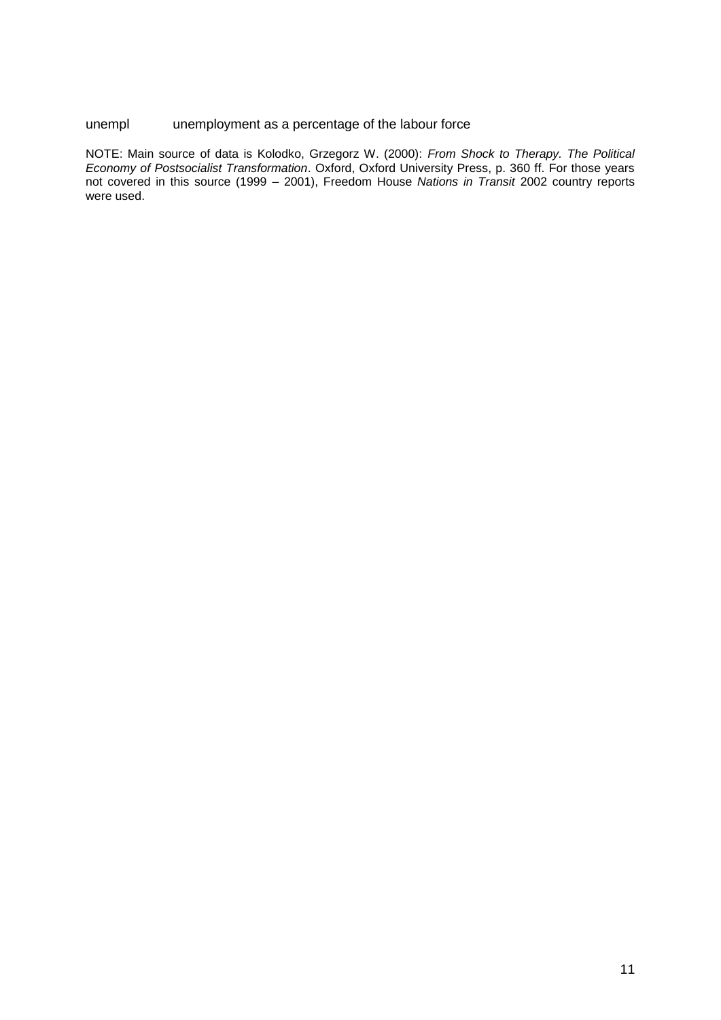### unempl unemployment as a percentage of the labour force

NOTE: Main source of data is Kolodko, Grzegorz W. (2000): *From Shock to Therapy. The Political Economy of Postsocialist Transformation*. Oxford, Oxford University Press, p. 360 ff. For those years not covered in this source (1999 – 2001), Freedom House *Nations in Transit* 2002 country reports were used.